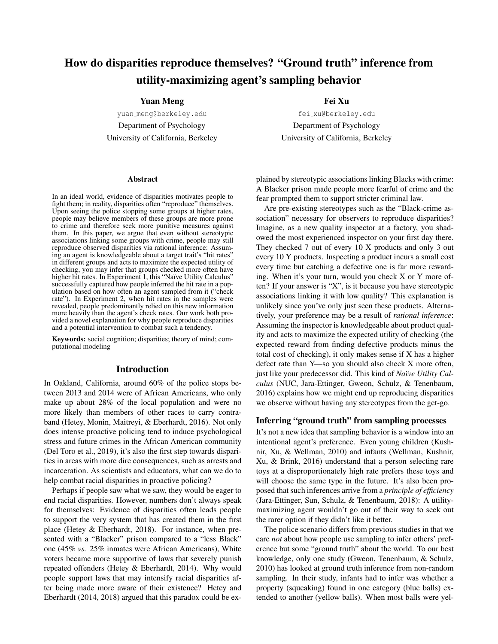# <span id="page-0-0"></span>How do disparities reproduce themselves? "Ground truth" inference from utility-maximizing agent's sampling behavior

Yuan Meng

yuan [meng@berkeley.edu](mailto:yuan_meng@berkeley.edu) Department of Psychology University of California, Berkeley

#### Abstract

In an ideal world, evidence of disparities motivates people to fight them; in reality, disparities often "reproduce" themselves. Upon seeing the police stopping some groups at higher rates, people may believe members of these groups are more prone to crime and therefore seek more punitive measures against them. In this paper, we argue that even without stereotypic associations linking some groups with crime, people may still reproduce observed disparities via rational inference: Assuming an agent is knowledgeable about a target trait's "hit rates" in different groups and acts to maximize the expected utility of checking, you may infer that groups checked more often have higher hit rates. In Experiment 1, this "Naïve Utility Calculus" successfully captured how people inferred the hit rate in a population based on how often an agent sampled from it ("check rate"). In Experiment 2, when hit rates in the samples were revealed, people predominantly relied on this new information more heavily than the agent's check rates. Our work both provided a novel explanation for why people reproduce disparities and a potential intervention to combat such a tendency.

Keywords: social cognition; disparities; theory of mind; computational modeling

#### Introduction

In Oakland, California, around 60% of the police stops between 2013 and 2014 were of African Americans, who only make up about 28% of the local population and were no more likely than members of other races to carry contraband [\(Hetey, Monin, Maitreyi, & Eberhardt, 2016\)](#page-5-0). Not only does intense proactive policing tend to induce psychological stress and future crimes in the African American community [\(Del Toro et al., 2019\)](#page-5-1), it's also the first step towards disparities in areas with more dire consequences, such as arrests and incarceration. As scientists and educators, what can we do to help combat racial disparities in proactive policing?

Perhaps if people saw what we saw, they would be eager to end racial disparities. However, numbers don't always speak for themselves: Evidence of disparities often leads people to support the very system that has created them in the first place [\(Hetey & Eberhardt, 2018\)](#page-5-2). For instance, when presented with a "Blacker" prison compared to a "less Black" one (45% *vs.* 25% inmates were African Americans), White voters became more supportive of laws that severely punish repeated offenders [\(Hetey & Eberhardt, 2014\)](#page-5-3). Why would people support laws that may intensify racial disparities after being made more aware of their existence? Hetey and Eberhardt (2014, 2018) argued that this paradox could be exFei Xu

fei [xu@berkeley.edu](mailto:fei_xu@berkeley.edu) Department of Psychology University of California, Berkeley

plained by stereotypic associations linking Blacks with crime: A Blacker prison made people more fearful of crime and the fear prompted them to support stricter criminal law.

Are pre-existing stereotypes such as the "Black-crime association" necessary for observers to reproduce disparities? Imagine, as a new quality inspector at a factory, you shadowed the most experienced inspector on your first day there. They checked 7 out of every 10 X products and only 3 out every 10 Y products. Inspecting a product incurs a small cost every time but catching a defective one is far more rewarding. When it's your turn, would you check X or Y more often? If your answer is "X", is it because you have stereotypic associations linking it with low quality? This explanation is unlikely since you've only just seen these products. Alternatively, your preference may be a result of *rational inference*: Assuming the inspector is knowledgeable about product quality and acts to maximize the expected utility of checking (the expected reward from finding defective products minus the total cost of checking), it only makes sense if X has a higher defect rate than Y—so you should also check X more often, just like your predecessor did. This kind of *Naïve Utility Calculus* (NUC, [Jara-Ettinger, Gweon, Schulz, & Tenenbaum,](#page-5-4) [2016\)](#page-5-4) explains how we might end up reproducing disparities we observe without having any stereotypes from the get-go.

## Inferring "ground truth" from sampling processes

It's not a new idea that sampling behavior is a window into an intentional agent's preference. Even young children [\(Kush](#page-5-5)[nir, Xu, & Wellman, 2010\)](#page-5-5) and infants [\(Wellman, Kushnir,](#page-5-6) [Xu, & Brink, 2016\)](#page-5-6) understand that a person selecting rare toys at a disproportionately high rate prefers these toys and will choose the same type in the future. It's also been proposed that such inferences arrive from a *principle of efficiency* [\(Jara-Ettinger, Sun, Schulz, & Tenenbaum, 2018\)](#page-5-7): A utilitymaximizing agent wouldn't go out of their way to seek out the rarer option if they didn't like it better.

The police scenario differs from previous studies in that we care *not* about how people use sampling to infer others' preference but some "ground truth" about the world. To our best knowledge, only one study [\(Gweon, Tenenbaum, & Schulz,](#page-5-8) [2010\)](#page-5-8) has looked at ground truth inference from non-random sampling. In their study, infants had to infer was whether a property (squeaking) found in one category (blue balls) extended to another (yellow balls). When most balls were yel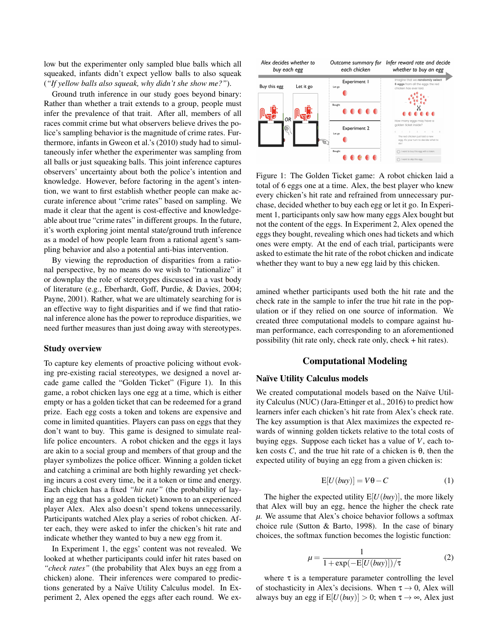low but the experimenter only sampled blue balls which all squeaked, infants didn't expect yellow balls to also squeak (*"If yellow balls also squeak, why didn't she show me?"*).

Ground truth inference in our study goes beyond binary: Rather than whether a trait extends to a group, people must infer the prevalence of that trait. After all, members of all races commit crime but what observers believe drives the police's sampling behavior is the magnitude of crime rates. Furthermore, infants in Gweon et al.'s (2010) study had to simultaneously infer whether the experimenter was sampling from all balls or just squeaking balls. This joint inference captures observers' uncertainty about both the police's intention and knowledge. However, before factoring in the agent's intention, we want to first establish whether people can make accurate inference about "crime rates" based on sampling. We made it clear that the agent is cost-effective and knowledgeable about true "crime rates" in different groups. In the future, it's worth exploring joint mental state/ground truth inference as a model of how people learn from a rational agent's sampling behavior and also a potential anti-bias intervention.

By viewing the reproduction of disparities from a rational perspective, by no means do we wish to "rationalize" it or downplay the role of stereotypes discussed in a vast body of literature (e.g., [Eberhardt, Goff, Purdie, & Davies, 2004;](#page-5-9) [Payne, 2001\)](#page-5-10). Rather, what we are ultimately searching for is an effective way to fight disparities and if we find that rational inference alone has the power to reproduce disparities, we need further measures than just doing away with stereotypes.

#### Study overview

To capture key elements of proactive policing without evoking pre-existing racial stereotypes, we designed a novel arcade game called the "Golden Ticket" (Figure [1\)](#page-1-0). In this game, a robot chicken lays one egg at a time, which is either empty or has a golden ticket that can be redeemed for a grand prize. Each egg costs a token and tokens are expensive and come in limited quantities. Players can pass on eggs that they don't want to buy. This game is designed to simulate reallife police encounters. A robot chicken and the eggs it lays are akin to a social group and members of that group and the player symbolizes the police officer. Winning a golden ticket and catching a criminal are both highly rewarding yet checking incurs a cost every time, be it a token or time and energy. Each chicken has a fixed *"hit rate"* (the probability of laying an egg that has a golden ticket) known to an experienced player Alex. Alex also doesn't spend tokens unnecessarily. Participants watched Alex play a series of robot chicken. After each, they were asked to infer the chicken's hit rate and indicate whether they wanted to buy a new egg from it.

In Experiment 1, the eggs' content was not revealed. We looked at whether participants could infer hit rates based on *"check rates"* (the probability that Alex buys an egg from a chicken) alone. Their inferences were compared to predictions generated by a Na¨ıve Utility Calculus model. In Experiment 2, Alex opened the eggs after each round. We ex-

<span id="page-1-0"></span>

Figure 1: The Golden Ticket game: A robot chicken laid a total of 6 eggs one at a time. Alex, the best player who knew every chicken's hit rate and refrained from unnecessary purchase, decided whether to buy each egg or let it go. In Experiment 1, participants only saw how many eggs Alex bought but not the content of the eggs. In Experiment 2, Alex opened the eggs they bought, revealing which ones had tickets and which ones were empty. At the end of each trial, participants were asked to estimate the hit rate of the robot chicken and indicate whether they want to buy a new egg laid by this chicken.

amined whether participants used both the hit rate and the check rate in the sample to infer the true hit rate in the population or if they relied on one source of information. We created three computational models to compare against human performance, each corresponding to an aforementioned possibility (hit rate only, check rate only, check + hit rates).

# Computational Modeling

#### Naïve Utility Calculus models

We created computational models based on the Naïve Utility Calculus (NUC) [\(Jara-Ettinger et al., 2016\)](#page-5-4) to predict how learners infer each chicken's hit rate from Alex's check rate. The key assumption is that Alex maximizes the expected rewards of winning golden tickets relative to the total costs of buying eggs. Suppose each ticket has a value of *V*, each token costs *C*, and the true hit rate of a chicken is θ, then the expected utility of buying an egg from a given chicken is:

$$
E[U(buy)] = V\theta - C \tag{1}
$$

The higher the expected utility  $E[U(buy)]$ , the more likely that Alex will buy an egg, hence the higher the check rate *µ*. We assume that Alex's choice behavior follows a softmax choice rule [\(Sutton & Barto, 1998\)](#page-5-11). In the case of binary choices, the softmax function becomes the logistic function:

$$
\mu = \frac{1}{1 + \exp(-E[U(buy)])/\tau}
$$
 (2)

<span id="page-1-1"></span>where  $\tau$  is a temperature parameter controlling the level of stochasticity in Alex's decisions. When  $\tau \rightarrow 0$ , Alex will always buy an egg if  $E[U(buy)] > 0$ ; when  $\tau \to \infty$ , Alex just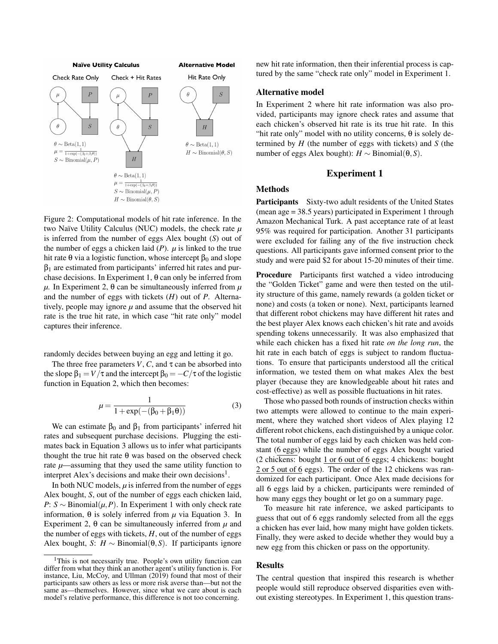<span id="page-2-1"></span>

Figure 2: Computational models of hit rate inference. In the two Naïve Utility Calculus (NUC) models, the check rate  $\mu$ is inferred from the number of eggs Alex bought (*S*) out of the number of eggs a chicken laid  $(P)$ .  $\mu$  is linked to the true hit rate θ via a logistic function, whose intercept  $β_0$  and slope  $\beta_1$  are estimated from participants' inferred hit rates and purchase decisions. In Experiment 1, θ can only be inferred from  $μ$ . In Experiment 2,  $θ$  can be simultaneously inferred from  $μ$ and the number of eggs with tickets (*H*) out of *P*. Alternatively, people may ignore  $\mu$  and assume that the observed hit rate is the true hit rate, in which case "hit rate only" model captures their inference.

randomly decides between buying an egg and letting it go.

<span id="page-2-0"></span>The three free parameters  $V, C$ , and  $\tau$  can be absorbed into the slope  $\beta_1 = V/\tau$  and the intercept  $\beta_0 = -C/\tau$  of the logistic function in Equation [2,](#page-1-1) which then becomes:

$$
\mu = \frac{1}{1 + \exp(-(\beta_0 + \beta_1 \theta))}
$$
(3)

We can estimate  $\beta_0$  and  $\beta_1$  from participants' inferred hit rates and subsequent purchase decisions. Plugging the estimates back in Equation [3](#page-2-0) allows us to infer what participants thought the true hit rate  $θ$  was based on the observed check rate  $\mu$ —assuming that they used the same utility function to interpret Alex's decisions and make their own decisions<sup>[1](#page-0-0)</sup>.

In both NUC models,  $\mu$  is inferred from the number of eggs Alex bought, *S*, out of the number of eggs each chicken laid, *P*: *S* ∼ Binomial( $\mu$ , *P*). In Experiment 1 with only check rate information, θ is solely inferred from *µ* via Equation [3.](#page-2-0) In Experiment 2,  $\theta$  can be simultaneously inferred from  $\mu$  and the number of eggs with tickets,  $H$ , out of the number of eggs Alex bought, *S*: *H*  $\sim$  Binomial( $\theta$ ,*S*). If participants ignore new hit rate information, then their inferential process is captured by the same "check rate only" model in Experiment 1.

#### Alternative model

In Experiment 2 where hit rate information was also provided, participants may ignore check rates and assume that each chicken's observed hit rate is its true hit rate. In this "hit rate only" model with no utility concerns,  $\theta$  is solely determined by *H* (the number of eggs with tickets) and *S* (the number of eggs Alex bought): *H* ∼ Binomial( $θ$ *,S*).

## Experiment 1

# **Methods**

Participants Sixty-two adult residents of the United States (mean age = 38.5 years) participated in Experiment 1 through Amazon Mechanical Turk. A past acceptance rate of at least 95% was required for participation. Another 31 participants were excluded for failing any of the five instruction check questions. All participants gave informed consent prior to the study and were paid \$2 for about 15-20 minutes of their time.

Procedure Participants first watched a video introducing the "Golden Ticket" game and were then tested on the utility structure of this game, namely rewards (a golden ticket or none) and costs (a token or none). Next, participants learned that different robot chickens may have different hit rates and the best player Alex knows each chicken's hit rate and avoids spending tokens unnecessarily. It was also emphasized that while each chicken has a fixed hit rate *on the long run*, the hit rate in each batch of eggs is subject to random fluctuations. To ensure that participants understood all the critical information, we tested them on what makes Alex the best player (because they are knowledgeable about hit rates and cost-effective) as well as possible fluctuations in hit rates.

Those who passed both rounds of instruction checks within two attempts were allowed to continue to the main experiment, where they watched short videos of Alex playing 12 different robot chickens, each distinguished by a unique color. The total number of eggs laid by each chicken was held constant (6 eggs) while the number of eggs Alex bought varied (2 chickens: bought  $1$  or 6 out of 6 eggs; 4 chickens: bought 2 or 5 out of 6 eggs). The order of the 12 chickens was randomized for each participant. Once Alex made decisions for all 6 eggs laid by a chicken, participants were reminded of how many eggs they bought or let go on a summary page.

To measure hit rate inference, we asked participants to guess that out of 6 eggs randomly selected from all the eggs a chicken has ever laid, how many might have golden tickets. Finally, they were asked to decide whether they would buy a new egg from this chicken or pass on the opportunity.

#### Results

The central question that inspired this research is whether people would still reproduce observed disparities even without existing stereotypes. In Experiment 1, this question trans-

<sup>&</sup>lt;sup>1</sup>This is not necessarily true. People's own utility function can differ from what they think an another agent's utility function is. For instance, Liu, McCoy, and Ullman (2019) found that most of their participants saw others as less or more risk averse than—but not the same as—themselves. However, since what we care about is each model's relative performance, this difference is not too concerning.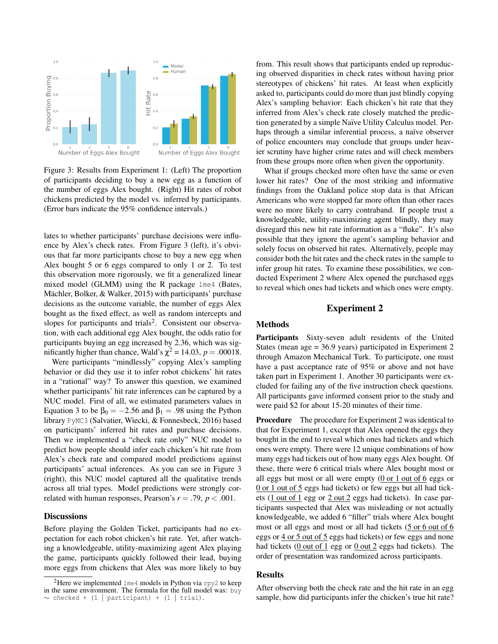<span id="page-3-0"></span>

Figure 3: Results from Experiment 1: (Left) The proportion of participants deciding to buy a new egg as a function of the number of eggs Alex bought. (Right) Hit rates of robot chickens predicted by the model vs. inferred by participants. (Error bars indicate the 95% confidence intervals.)

lates to whether participants' purchase decisions were influence by Alex's check rates. From Figure [3](#page-3-0) (left), it's obvious that far more participants chose to buy a new egg when Alex bought 5 or 6 eggs compared to only 1 or 2. To test this observation more rigorously, we fit a generalized linear mixed model (GLMM) using the R package lme4 [\(Bates,](#page-5-12) Mächler, Bolker, & Walker, 2015) with participants' purchase decisions as the outcome variable, the number of eggs Alex bought as the fixed effect, as well as random intercepts and slopes for participants and trials<sup>[2](#page-0-0)</sup>. Consistent our observation, with each additional egg Alex bought, the odds ratio for participants buying an egg increased by 2.36, which was significantly higher than chance, Wald's  $\chi^2 = 14.03$ ,  $p = .00018$ .

Were participants "mindlessly" copying Alex's sampling behavior or did they use it to infer robot chickens' hit rates in a "rational" way? To answer this question, we examined whether participants' hit rate inferences can be captured by a NUC model. First of all, we estimated parameters values in Equation [3](#page-2-0) to be  $\beta_0 = -2.56$  and  $\beta_1 = .98$  using the Python library PyMC3 [\(Salvatier, Wiecki, & Fonnesbeck, 2016\)](#page-5-13) based on participants' inferred hit rates and purchase decisions. Then we implemented a "check rate only" NUC model to predict how people should infer each chicken's hit rate from Alex's check rate and compared model predictions against participants' actual inferences. As you can see in Figure [3](#page-3-0) (right), this NUC model captured all the qualitative trends across all trial types. Model predictions were strongly correlated with human responses, Pearson's  $r = .79$ ,  $p < .001$ .

#### **Discussions**

Before playing the Golden Ticket, participants had no expectation for each robot chicken's hit rate. Yet, after watching a knowledgeable, utility-maximizing agent Alex playing the game, participants quickly followed their lead, buying more eggs from chickens that Alex was more likely to buy from. This result shows that participants ended up reproducing observed disparities in check rates without having prior stereotypes of chickens' hit rates. At least when explicitly asked to, participants could do more than just blindly copying Alex's sampling behavior: Each chicken's hit rate that they inferred from Alex's check rate closely matched the prediction generated by a simple Naïve Utility Calculus model. Perhaps through a similar inferential process, a naïve observer of police encounters may conclude that groups under heavier scrutiny have higher crime rates and will check members from these groups more often when given the opportunity.

What if groups checked more often have the same or even lower hit rates? One of the most striking and informative findings from the Oakland police stop data is that African Americans who were stopped far more often than other races were no more likely to carry contraband. If people trust a knowledgeable, utility-maximizing agent blindly, they may disregard this new hit rate information as a "fluke". It's also possible that they ignore the agent's sampling behavior and solely focus on observed hit rates. Alternatively, people may consider both the hit rates and the check rates in the sample to infer group hit rates. To examine these possibilities, we conducted Experiment 2 where Alex opened the purchased eggs to reveal which ones had tickets and which ones were empty.

# Experiment 2

#### Methods

Participants Sixty-seven adult residents of the United States (mean age = 36.9 years) participated in Experiment 2 through Amazon Mechanical Turk. To participate, one must have a past acceptance rate of 95% or above and not have taken part in Experiment 1. Another 30 participants were excluded for failing any of the five instruction check questions. All participants gave informed consent prior to the study and were paid \$2 for about 15-20 minutes of their time.

**Procedure** The procedure for Experiment 2 was identical to that for Experiment 1, except that Alex opened the eggs they bought in the end to reveal which ones had tickets and which ones were empty. There were 12 unique combinations of how many eggs had tickets out of how many eggs Alex bought. Of these, there were 6 critical trials where Alex bought most or all eggs but most or all were empty (0 or 1 out of 6 eggs or 0 or 1 out of 5 eggs had tickets) or few eggs but all had tickets (1 out of 1 egg or 2 out 2 eggs had tickets). In case participants suspected that Alex was misleading or not actually knowledgeable, we added 6 "filler" trials where Alex bought most or all eggs and most or all had tickets (5 or 6 out of 6 eggs or 4 or 5 out of 5 eggs had tickets) or few eggs and none had tickets (0 out of 1 egg or 0 out 2 eggs had tickets). The order of presentation was randomized across participants.

## Results

After observing both the check rate and the hit rate in an egg sample, how did participants infer the chicken's true hit rate?

<sup>&</sup>lt;sup>2</sup>Here we implemented  $\text{Im} \epsilon_4$  models in Python via rpy2 to keep in the same environment. The formula for the full model was: buy  $\sim$  checked + (1 | participant) + (1 | trial).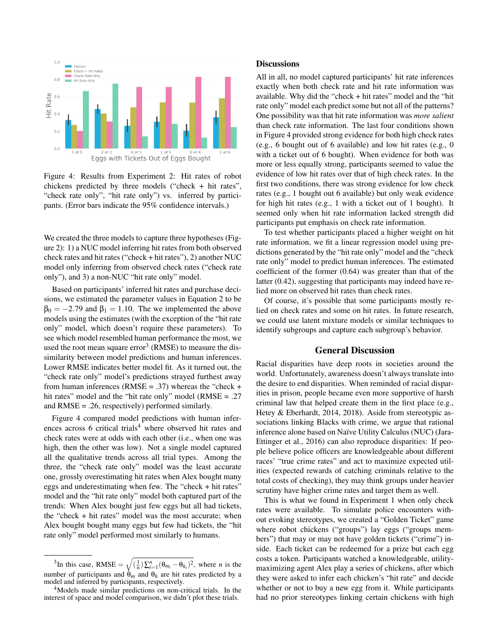<span id="page-4-0"></span>

Figure 4: Results from Experiment 2: Hit rates of robot chickens predicted by three models ("check + hit rates", "check rate only", "hit rate only") vs. inferred by participants. (Error bars indicate the 95% confidence intervals.)

We created the three models to capture three hypotheses (Figure [2\)](#page-2-1): 1) a NUC model inferring hit rates from both observed check rates and hit rates ("check + hit rates"), 2) another NUC model only inferring from observed check rates ("check rate only"), and 3) a non-NUC "hit rate only" model.

Based on participants' inferred hit rates and purchase decisions, we estimated the parameter values in Equation [2](#page-1-1) to be  $\beta_0 = -2.79$  and  $\beta_1 = 1.10$ . The we implemented the above models using the estimates (with the exception of the "hit rate only" model, which doesn't require these parameters). To see which model resembled human performance the most, we used the root mean square  $error<sup>3</sup>$  $error<sup>3</sup>$  $error<sup>3</sup>$  (RMSE) to measure the dissimilarity between model predictions and human inferences. Lower RMSE indicates better model fit. As it turned out, the "check rate only" model's predictions strayed furthest away from human inferences ( $RMSE = .37$ ) whereas the "check + hit rates" model and the "hit rate only" model (RMSE = .27) and RMSE = .26, respectively) performed similarly.

Figure [4](#page-4-0) compared model predictions with human infer-ences across 6 critical trials<sup>[4](#page-0-0)</sup> where observed hit rates and check rates were at odds with each other (i.e., when one was high, then the other was low). Not a single model captured all the qualitative trends across all trial types. Among the three, the "check rate only" model was the least accurate one, grossly overestimating hit rates when Alex bought many eggs and underestimating when few. The "check + hit rates" model and the "hit rate only" model both captured part of the trends: When Alex bought just few eggs but all had tickets, the "check + hit rates" model was the most accurate; when Alex bought bought many eggs but few had tickets, the "hit rate only" model performed most similarly to humans.

#### **Discussions**

All in all, no model captured participants' hit rate inferences exactly when both check rate and hit rate information was available. Why did the "check + hit rates" model and the "hit rate only" model each predict some but not all of the patterns? One possibility was that hit rate information was *more salient* than check rate information. The last four conditions shown in Figure [4](#page-4-0) provided strong evidence for both high check rates (e.g., 6 bought out of 6 available) and low hit rates (e.g., 0 with a ticket out of 6 bought). When evidence for both was more or less equally strong, participants seemed to value the evidence of low hit rates over that of high check rates. In the first two conditions, there was strong evidence for low check rates (e.g., 1 bought out 6 available) but only weak evidence for high hit rates (e.g., 1 with a ticket out of 1 bought). It seemed only when hit rate information lacked strength did participants put emphasis on check rate information.

To test whether participants placed a higher weight on hit rate information, we fit a linear regression model using predictions generated by the "hit rate only" model and the "check rate only" model to predict human inferences. The estimated coefficient of the former (0.64) was greater than that of the latter (0.42), suggesting that participants may indeed have relied more on observed hit rates than check rates.

Of course, it's possible that some participants mostly relied on check rates and some on hit rates. In future research, we could use latent mixture models or similar techniques to identify subgroups and capture each subgroup's behavior.

## General Discussion

Racial disparities have deep roots in societies around the world. Unfortunately, awareness doesn't always translate into the desire to end disparities. When reminded of racial disparities in prison, people became even more supportive of harsh criminal law that helped create them in the first place (e.g., [Hetey & Eberhardt, 2014,](#page-5-3) [2018\)](#page-5-2). Aside from stereotypic associations linking Blacks with crime, we argue that rational inference alone based on Naïve Utility Calculus (NUC) [\(Jara-](#page-5-4)[Ettinger et al., 2016\)](#page-5-4) can also reproduce disparities: If people believe police officers are knowledgeable about different races' "true crime rates" and act to maximize expected utilities (expected rewards of catching criminals relative to the total costs of checking), they may think groups under heavier scrutiny have higher crime rates and target them as well.

This is what we found in Experiment 1 when only check rates were available. To simulate police encounters without evoking stereotypes, we created a "Golden Ticket" game where robot chickens ("groups") lay eggs ("groups members") that may or may not have golden tickets ("crime") inside. Each ticket can be redeemed for a prize but each egg costs a token. Participants watched a knowledgeable, utilitymaximizing agent Alex play a series of chickens, after which they were asked to infer each chicken's "hit rate" and decide whether or not to buy a new egg from it. While participants had no prior stereotypes linking certain chickens with high

<sup>&</sup>lt;sup>3</sup>In this case, RMSE =  $\sqrt{\left(\frac{1}{n}\right)\sum_{i=1}^{n}(\theta_{m_i}-\theta_{h_i})^2}$ , where *n* is the number of participants and  $\hat{\theta}_m$  and  $\theta_h$  are hit rates predicted by a model and inferred by participants, respectively.

<sup>&</sup>lt;sup>4</sup>Models made similar predictions on non-critical trials. In the interest of space and model comparison, we didn't plot these trials.